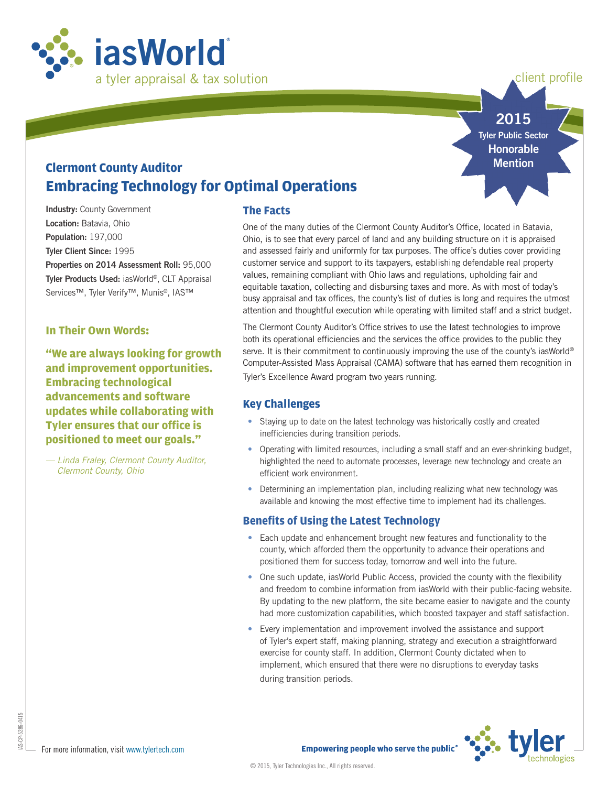

client profile

**2015 Tyler Public Sector**

> **Honorable Mention**

# **Clermont County Auditor Embracing Technology for Optimal Operations**

**Industry: County Government Location:** Batavia, Ohio **Population:** 197,000 **Tyler Client Since:** 1995 **Properties on 2014 Assessment Roll:** 95,000 **Tyler Products Used:** iasWorld®, CLT Appraisal Services™, Tyler Verify™, Munis®, IAS™

### **In Their Own Words:**

**"We are always looking for growth and improvement opportunities. Embracing technological advancements and software updates while collaborating with Tyler ensures that our office is positioned to meet our goals."**

*— Linda Fraley, Clermont County Auditor, Clermont County, Ohio*

## **The Facts**

One of the many duties of the Clermont County Auditor's Office, located in Batavia, Ohio, is to see that every parcel of land and any building structure on it is appraised and assessed fairly and uniformly for tax purposes. The office's duties cover providing customer service and support to its taxpayers, establishing defendable real property values, remaining compliant with Ohio laws and regulations, upholding fair and equitable taxation, collecting and disbursing taxes and more. As with most of today's busy appraisal and tax offices, the county's list of duties is long and requires the utmost attention and thoughtful execution while operating with limited staff and a strict budget.

The Clermont County Auditor's Office strives to use the latest technologies to improve both its operational efficiencies and the services the office provides to the public they serve. It is their commitment to continuously improving the use of the county's iasWorld® Computer-Assisted Mass Appraisal (CAMA) software that has earned them recognition in Tyler's Excellence Award program two years running.

## **Key Challenges**

- Staying up to date on the latest technology was historically costly and created inefficiencies during transition periods.
- Operating with limited resources, including a small staff and an ever-shrinking budget, highlighted the need to automate processes, leverage new technology and create an efficient work environment.
- Determining an implementation plan, including realizing what new technology was available and knowing the most effective time to implement had its challenges.

## **Benefits of Using the Latest Technology**

- Each update and enhancement brought new features and functionality to the county, which afforded them the opportunity to advance their operations and positioned them for success today, tomorrow and well into the future.
- One such update, iasWorld Public Access, provided the county with the flexibility and freedom to combine information from iasWorld with their public-facing website. By updating to the new platform, the site became easier to navigate and the county had more customization capabilities, which boosted taxpayer and staff satisfaction.
- Every implementation and improvement involved the assistance and support of Tyler's expert staff, making planning, strategy and execution a straightforward exercise for county staff. In addition, Clermont County dictated when to implement, which ensured that there were no disruptions to everyday tasks during transition periods.



IAS-CP-5286-0415

5286-0415  $B-S-CP-5$ 

**Empowering people who serve the public<sup>®</sup>**